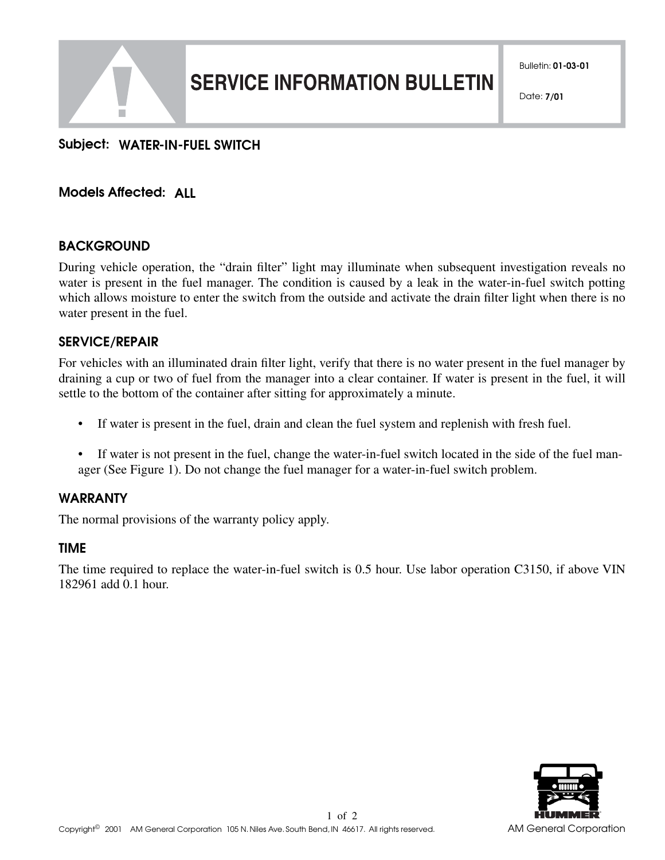

# **SERVICE INFORMATION BULLETIN**

# **Subject: WATER-IN-FUEL SWITCH**

# **Models Affected: ALL**

## **BACKGROUND**

During vehicle operation, the "drain filter" light may illuminate when subsequent investigation reveals no water is present in the fuel manager. The condition is caused by a leak in the water-in-fuel switch potting which allows moisture to enter the switch from the outside and activate the drain filter light when there is no water present in the fuel.

## **SERVICE/REPAIR**

For vehicles with an illuminated drain filter light, verify that there is no water present in the fuel manager by draining a cup or two of fuel from the manager into a clear container. If water is present in the fuel, it will settle to the bottom of the container after sitting for approximately a minute.

- If water is present in the fuel, drain and clean the fuel system and replenish with fresh fuel.
- If water is not present in the fuel, change the water-in-fuel switch located in the side of the fuel manager (See Figure 1). Do not change the fuel manager for a water-in-fuel switch problem.

## **WARRANTY**

The normal provisions of the warranty policy apply.

## **TIME**

The time required to replace the water-in-fuel switch is 0.5 hour. Use labor operation C3150, if above VIN 182961 add 0.1 hour.